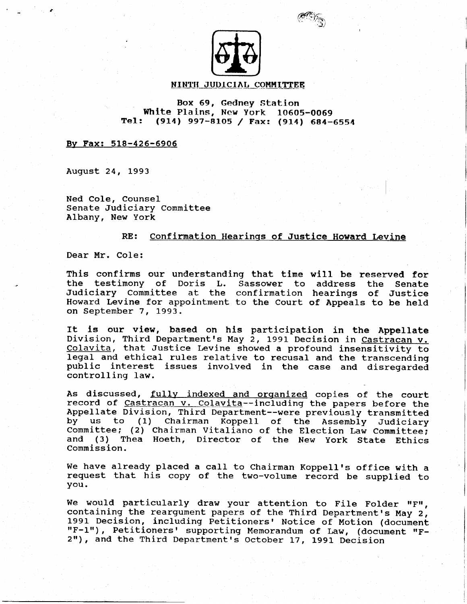

ffir,E)

### NINTH JUDICIAL COMMITTEE

### Box 69, Gedney Station White Plains, New York 10605-0069 Tel: (914) 997-BIos / Fax: (914) 684-6s54

#### By Fax: 518-426-6906

August 24, 1993

Ned Cole, Counsel Senate Judiciary Conmittee Albany, New York

### RE: Confirmation Hearings of Justice Howard Levine

Dear Mr. Cole:

This confirms our understanding that time will be reserved for the testinony of Doris L. Sassower to address the Senate Judiciary Committee at the confirmation hearings of Justice Howard Levine for appointment to the Court of Appeals to be held on September 7, 1993.

It is our view, based on his participation in the Appellate Division, Third Department's May 2, 1991 Decision in Castracan v. Colavita, that Justice Levine showed a profound insensitivity to legal and ethical rules relative to recusal and the transcending public interest issues involved in the case and disregarded controlling law.

As discussed, fully indexed and organized copies of the court record of Castracan v. Colavita--including the papers before the Appellate Division, Third Department--were previously transmitted by us to (1) Chairman Koppell of the Assembly Judiciary Committee; (2) Chairman Vitaliano of the Election Law Committee; and (3) Thea Hoeth, Director of the New York State Ethics Commission.

We have already placed a call to Chairman Koppell's office with a request that his copy of the two-volume record be supptied to you.

We would particularly draw your attention to File Folder "F", containing the reargument papers of the Third Department's May 2,<br>1991 Decision, including Petitioners' Notice of Motion (document "F-1"), Petitioners' supporting Memorandum of Law, (document "F-2"), and the Third Department's October 17, 1991 Decision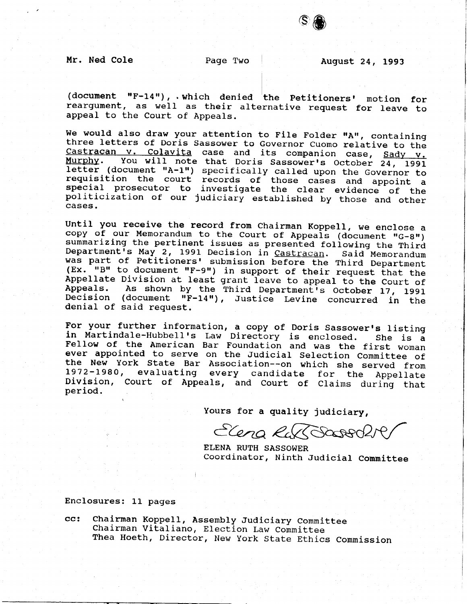Mr. Ned Cole 2018 Page Two 2018 August 24, 1993

S <mark>⊜</mark>

 $\begin{bmatrix} 1 \\ 1 \\ 1 \end{bmatrix}$ (document "F-14"), which denied the Petitioners' motion for reargument, as well as their alternative request for leave to appeal to the Court of Appeals.

We would also draw your attention to File Folder "A", containing three letters of Doris Sassower to Governor Cuomo relative to the Castracan v. Colavita case and its companion case, Sady v.<br>Murphy. You will note that Doris Sassower's October 24, 1991 letter (document "A-1") specifically called upon the Governor to requisition the court records of those cases and appoint a special prosecutor to investigate the clear evidence of the politicization of our judiciary established by those and other cases.

Until you receive the record from chairman Koppell, we enclose a copy of our Memorandum to the Court of Appeals (document "G-8")<br>summarizing the pertinent issues as presented following the Third Department's May 2, 1991 Decision in Castracan. Said Memorandum<br>was part of Petitioners' submission before the Third Department (Ex. "B" to document "F-9") in support of their request that the<br>Appellate Division at least grant leave to appeal to the Court of<br>Appeals. As shown by the Third Department's October 17, 1991<br>Decision (document "F-14"). J Decision (document  $\mathbf{u}_F - 14 \mathbf{u}$ ), Justice Levine concurred in the denial of said request.

For your further information, a copy of Doris Sassower's listing in Martindale-Hubbell's Law Directory is enclosed. She is a Fellow of the American Bar Foundation and was the first woman<br>ever appointed to serve on the Judicial Selection Committee of the New York State Bar Association--on which she served from<br>1972-1980, evaluating every candidate for the Appellate Division, Court of Appeals, and Court of Claims during that period.

Yours for a quality judiciary,

Elena RussBoot

ELENA RUTH SASSOWER Coordinator, Ninth Judicial Committee

Enclosures: 11 pages

Chairman Koppell, Assembly Judiciary Committee Chairman Vitaliano, Election Law Committee Thea Hoeth, Director, New york state Ethics commission  $cc:$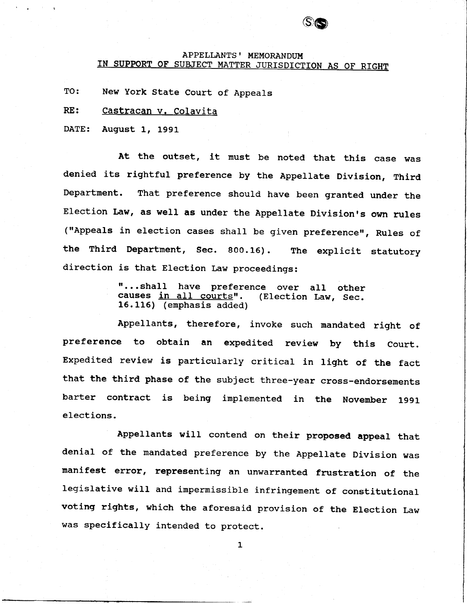# APPELLANTS' MEMORANDUM<br>IN SUPPORT OF SUBJECT MATTER JURISDICTION AS OF RIGHT

**SG** 

TO: New York State Court of Appeals

RE: Castracan v. Colavita

DATE: August 1, L991

At the outset, it must be noted that this case was denied its rightful preference by the Appellate Division, Third Department. That preference should have been granted under the Election Law, as well as under the Appellate Division's own rules ("Appeals in election cases shall be given preference", Rules of the Third Department, sec. 900.16). The explicit statutory direction is that Election Law proceedings:

> "...shall have preference over all other<br>causes <u>in all courts</u>". (Election Law, Sec. causes in all courts". 15.115) (emphasis added)

Appellants, therefore, invoke such mandated right of preference to obtain an expedited review by this court. Expedited review is particularly critical in light of the fact that the third phase of the subject three-year cross-endorsements barter contract is being implenented in the November 1991 elections.

Appellants will contend on their proposed appeal that denial of the mandated preference by the Appellate Division was manifest error, representing an unwarranted frustration of the legislative will and impermissible infringement of constitutional voting rights, which the aforesaid provision of the Election Law was specifically intended to protect.

 $\mathbf{1}$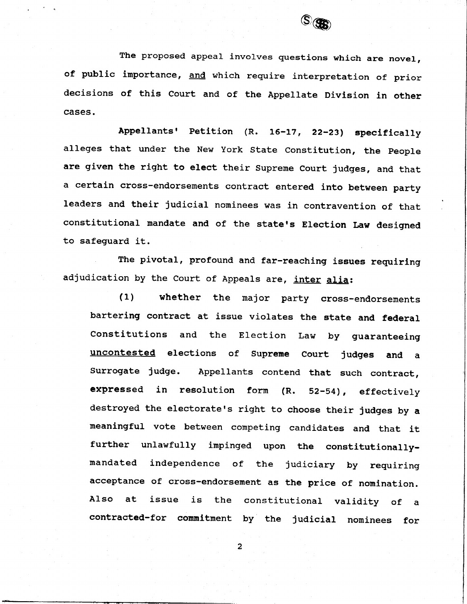

The proposed appeal involves questions which are novel, of public importance, and which require interpretation of prior decisions of this Court and of the Appellate Division in other cases.

Appellants' Petition (R. 16-17, 22-23) specifically alleges that under the New York State Constitution, the people are given the right to elect their Supreme Court judges, and that a certain cross-endorsements contract entered into between party Ieaders and their judicial nominees was in contravention of that constitutional mandate and of the state's Election Law designed to safeguard it.

The pivotal, profound and far-reaching issues requiring adjudication by the Court of Appeals are, inter alia:

(1) whether the major party cross-endorsements bartering contract at issue violates the state and federal constitutions and the Election Law by guaranteeing uncontested elections of Supreme Court judges and a Surrogate judge. Appellants contend that such contract, expressed in resolution form  $(R. 52-54)$ , effectively destroyed the electorate's right to choose their judges by a meaningful vote between competing candidates and that it further unlawfully impinged upon the constitutionallymandated independence of the judiciary by requiring acceptance of cross-endorsement as the price of nomination. Also at issue is the constitutional validity of a contracted-for commitment by the judicial nominees for

 $\overline{2}$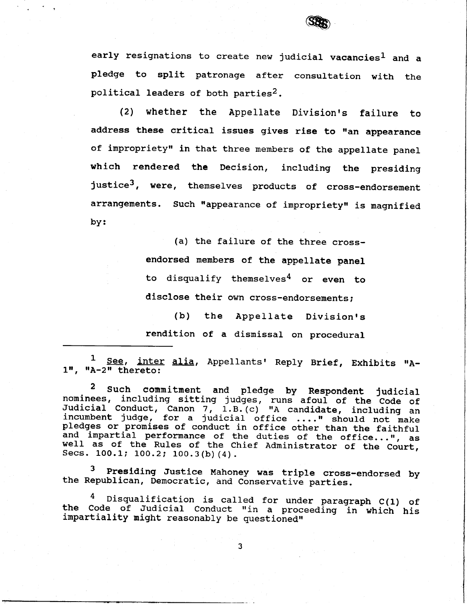

early resignations to create new judicial vacancies<sup>1</sup> and a pledge to split patronage after consultation with the political leaders of both parties<sup>2</sup>.

(2) whether the Appellate Division's failure to address these critical issues gives rise to "an appearance of impropriety" in that three members of the appellate panel which rendered the Decision, including the presiding justice<sup>3</sup>, were, themselves products of cross-endorsement arrangements. Such "appearance of impropriety" is magnified by:

> (a) the failure of the three crossendorsed members of the appellate panel to disqualify themselves<sup>4</sup> or even to disclose their own cross-endorsements;

> (b) the Appellate Division's rendition of a dismissal on procedural

1 See, inter alia, Appellants' Reply Brief, Exhibits "A- $1$ ", "A- $2$ " theret

2 Such commitment and pledge by Respondent judici<br>nominees, including sitting judges, runs afoul of the Code Judic nominees, including sitting judges, runs afoul of the Code of<br>Judicial Conduct, Canon 7, 1.B.(c) "A candidate, including an<br>incumbent judge, for a judicial office ...." should not make incumbent judge, for a judicial office ...." should not make<br>pledges or promises of conduct in office other than the faithful and impartial performance of the duties of the office...", as well as of the Rules of the Chief Administrator of the Court, Secs. 100.1; 100.2; 100.3(b)(4).

<sup>3</sup> Presiding Justice Mahoney was triple cross-endorsed by the Republican, Democratic, and Conservative parties.

<sup>4</sup> Disqualification is called for under paragraph C(1) of<br>the Code of Judicial Conduct "in a proceeding in which his<br>impartiality might reasonably be questioned"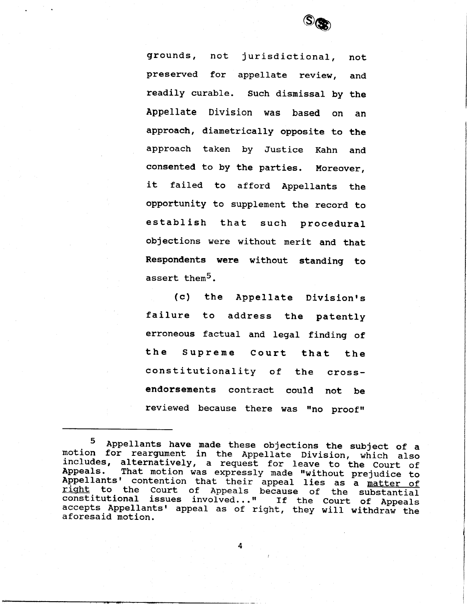

grounds, not jurisdictional, not preserved for appellate review, and readily curable. Such dismissal by the Appellate Division was based on an approach, diametrically opposite to the approach taken by Justice Kahn and consented to by the parties. Moreover, it failed to afford Appellants the opportunity to supplement the record to establish that such procedural objections were without merit and that Respondents were without standing to assert them<sup>5</sup>.

(c) the Appellate Division's failure to address the patently erroneous factual and legal finding of the Supreme Court that the constitutionality of the crossendorsements contract could not be reviewed because there was "no proof"

<sup>&</sup>lt;sup>5</sup> Appellants have made these objections the subject of a<br>motion for reargument in the Appellate Division, which also<br>includes, alternatively, a request for leave to the Court of<br>Appeals. That motion was expressly made "w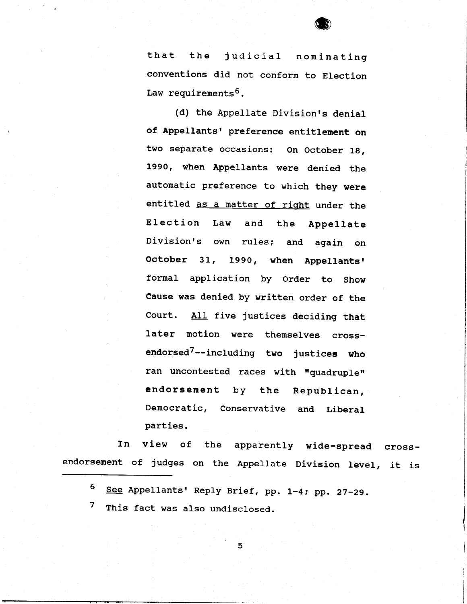

that the judicial nominating conventions did not conform to Election Law requirements<sup>6</sup>.

(d) the Appellate Division's denial of Appellants' preference entitlement on two separate occasions: On October 1g, 1990, when Appellants were denied the automatic preference to which they were entitled as a matter of right under the Election Law and the Appellate Division's own rules; and again on October 31, 1990, when Appellants' formal application by Order to Show Cause was denied by written order of the Court. AII five justices deciding that later motion were themselves crossendorsed<sup>7</sup>--including two justices who ran uncontested races with "quadruple" endorsement by the Republican, Democratic, Conservative and Liberal parties.

In endorsement of judges on the Appellate Division level, it is view of the apparently wide-spread cross-

5 See Appellants' Reply Brief, pp. 1-4; pp. 27-29.

7 This fact was also undisclosed.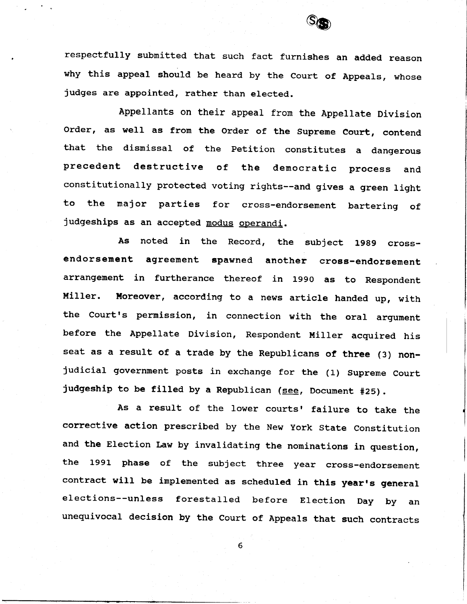

respectfully submitted that such fact furnishes an added reason why this appeal should be heard by the Court of Appeals, whose judges are appointed, rather than elected.

Appellants on their appeal from the Appellate Division order, as well as from the order of the supreme court, contend that the dismissal of the Petition constitutes a dangerous precedent destructive of the democratic process and constitutionally protected voting rights--and gives a green light to the major parties for cross-endorsement bartering of judgeships as an accepted modus operandi.

As noted in the Record, the subject 1989 crossendorsement agreement spawned another cross-endorsement arrangement in furtherance thereof in 1990 as to Respondent Miller. Moreover, according to a news article handed up, with the Court's permission, in connection with the oral argument before the Appellate Division, Respondent Miller acguired his seat as a result of a trade by the Republicans of three (3) nonjudicial government posts in exchange for the (1) Supreme Court judgeship to be filled by a Republican (see, Document #25).

As a result of the lower courts' failure to take the corrective action prescribed by the New york State Constitution and the Election Law by invalidating the nominations in question, the 1991 phase of the subject three year cross-endorsement contract will be implemented as scheduled in this year's general elections--unless forestalled before Election Day by an uneguivocal decision by the Court of Appeals that such contracts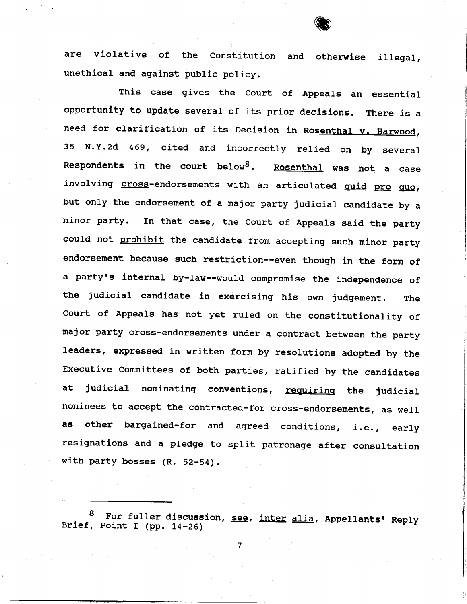are violative of the Constitution and otherwise illegal, unethical and against public policy.

This case gives the Court of Appeals an essential opportunity to update several of its prior decisions. There is a need for clarification of its Decision in Rosenthal v. Harwood, 35 N.Y.2d 469, cited and incorrectly relied on by several Respondents in the court below<sup>8</sup>. Rosenthal was not a case involving cross-endorsements with an articulated quid pro quo, but only the endorsement of a najor party judicial candidate by a minor party. In that case, the Court of Appeals said the party could not prohibit the candidate from accepting such minor party endorsement because such restriction--even though in the form of a party's internal by-law--would compromise the independence of the judicial candidate in exercising his own judgement. The court of Appeals has not yet ruled on the constitutionality of major party cross-endorsements under a contract between the party leaders, expressed in written form by resolutions adopted by the Executive Committees of both parties, ratified by the candidates at judicial nominating conventions, requiring the judicial nominees to accept the contracted-for cross-endorsements, as weII as other bargained-for and agreed conditions, i.e., early resignations and a pledge to split patronage after consultation with party bosses (R. 52-54).

<sup>8</sup> For fuller discussion, see, inter alia, Appellants' Reply Brief, Point I (pp. 14-26)

 $\overline{7}$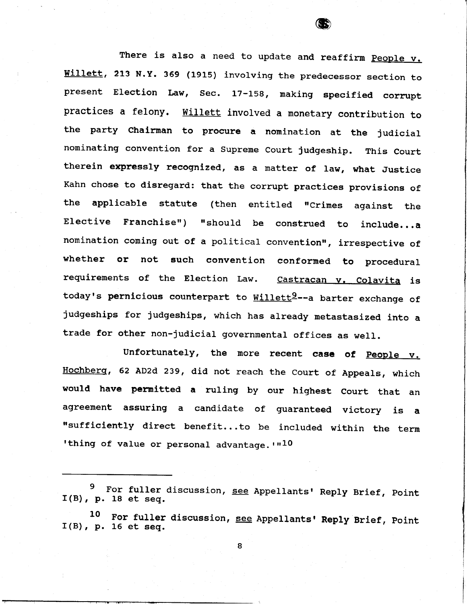There is also a need to update and reaffirm People v. Willett, 213 N.Y. 369 (1915) involving the predecessor section to present Election Law, Sec. 17-158, making specified corrupt practices a felony. Willett involved a monetary contribution to the party Chairman to procure a nomination at the judicial nominating convention for a supreme court judgeship. This court therein expressly recognized, as a matter of law, what Justice Kahn chose to disregard: that the corrupt practices provisions of the applicable statute (then entitled "Crimes against the Elective Franchise") "should be construed to include...a nomination coming out of a political convention", irrespective of whether or not such convention conformed to procedural requirements of the Election Law. Castracan v. Colavita is today's pernicious counterpart to Willett<sup>2</sup>--a barter exchange of judgeships for judgeships, which has already metastasized into a trade for other non-judicial governmental offices as well.

Unfortunately, the more recent case of People v. Hochberg, 62 AD2d 239, did not reach the court of Appeals, which would have permitted a ruling by our highest Court that an agreement assuring a candidate of guaranteed victory is a "sufficiently direct benefit...to be included within the term 'thing of value or personal advantage.  $r^{10}$ 

<sup>9</sup>  $I(B)$ , p. 18 et seq. For fuller discussion, see Appellants' Reply Brief, Point

L0  $I(B)$ , p. 16 et seq. For fuller discussion, see Appellants' Reply Brief, Point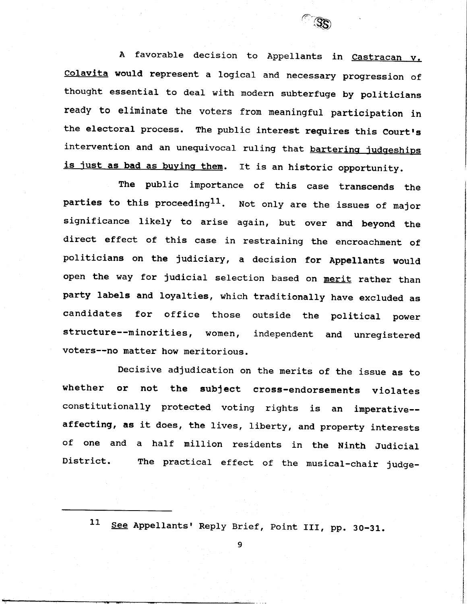

 $\begin{array}{c} \n\sqrt{3} & \n\end{array}$ 

The public inportance of this case transcends the parties to this proceeding<sup>11</sup>. Not only are the issues of major significance like1y to arise again, but over and beyond the direct effect of this case in restraining the encroachment of politicians on the judiciary, a decision for Appellants would open the way for judicial selection based on merit rather than party labels and loyalties, which traditionally have excluded as candidates for office those outside the political power structure--minorities, women, independent and unregistered voters--no matter how meritorious.

Decisive adjudication on the merits of the issue as to whether or not the subject cross-endorsements violates constitutionally protected voting rights is an imperative-affecting, as it does, the lives, liberty, and property interests of one and a half million residents in the Ninth Judicial District. The practical effect of the musical-chair judge-

11 See Appellants' Reply Brief, Point III, pp. 30-31.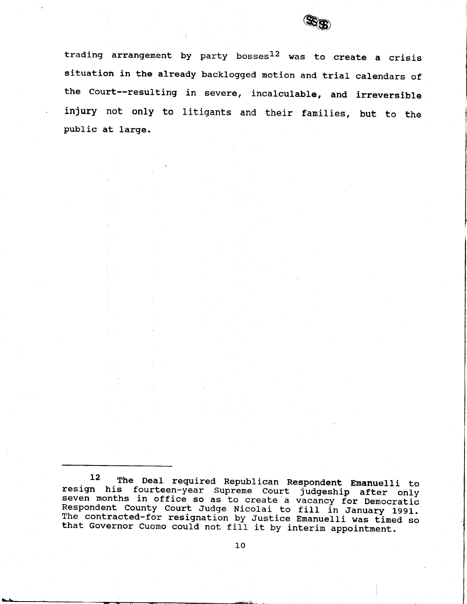

trading arrangement by party bosses $^{12}$  was to create a cris situation in the already backlogged motion and trial calendars of the Court--resulting in severe, incalculable, and irreversi injury not only to litigants and their families, but to the public at large.

12 The Deal required Republican Respondent Emanuelli to resign his fourteen-year Supreme Court judgeship after only seven months in office so as to create a vacancy for Democratic Respondent County Court Judge Nicolai to fill in January 1991.<br>The contracted-for resignation by Justice Emanuelli was timed so<br>that Governor Cuomo could not fill it by interim appointment.